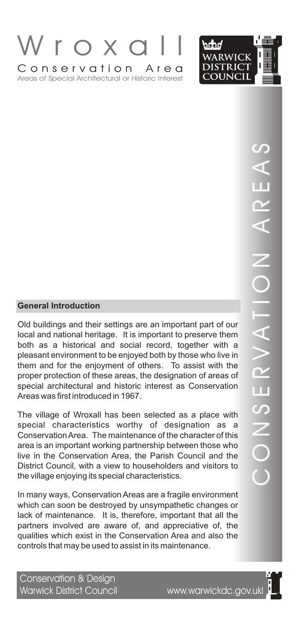



# $\bigcirc$ O $\overline{\angle}$ SER $>$   $\blacksquare$  $\triangleleft$  $\equiv$  $\frac{\mathsf{O}}{\mathsf{I}}$   $\parallel$  $\overline{\angle}$  $\triangleleft$  $\boldsymbol{\alpha}$ E $\triangleleft$  $\boldsymbol{\mathcal{C}}$

**Conservation and the matter of the matter of the Conservation**<br>
Conservations and their settings are an important to preserve them<br>
bload and national heritage. It is important to preserve them<br>
bleasant environment to be Old buildings and their settings are an important part of our local and national heritage. It is important to preserve them both as a historical and social record, together with a pleasant environment to be enjoyed both by those who live in them and for the enjoyment of others. To assist with the proper protection of these areas, the designation of areas of special architectural and historic interest as Conservation Areas was first introduced in 1967.

The village of Wroxall has been selected as a place with special characteristics worthy of designation as a Conservation Area. The maintenance of the character of this area is an important working partnership between those who live in the Conservation Area, the Parish Council and the District Council, with a view to householders and visitors to the village enjoying its special characteristics.

In many ways, Conservation Areas are a fragile environment which can soon be destroyed by unsympathetic changes or lack of maintenance. It is, therefore, important that all the partners involved are aware of, and appreciative of, the qualities which exist in the Conservation Area and also the controls that may be used to assist in its maintenance.

Conservation & Design Warwick District Council www.warwickdc.gov.ukl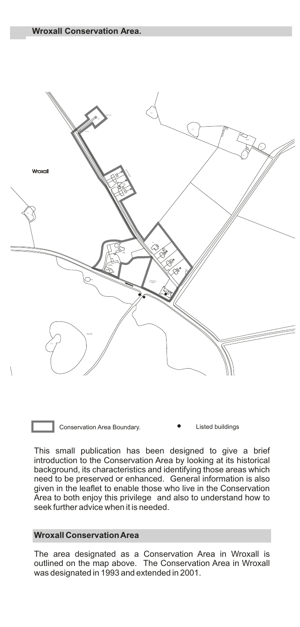

Conservation Area Boundary. **•** Listed buildings

This small publication has been designed to give a brief introduction to the Conservation Area by looking at its historical background, its characteristics and identifying those areas which need to be preserved or enhanced. General information is also given in the leaflet to enable those who live in the Conservation Area to both enjoy this privilege and also to understand how to seek further advice when it is needed.

# **Wroxall Conservation Area**

The area designated as a Conservation Area in Wroxall is outlined on the map above. The Conservation Area in Wroxall was designated in 1993 and extended in 2001.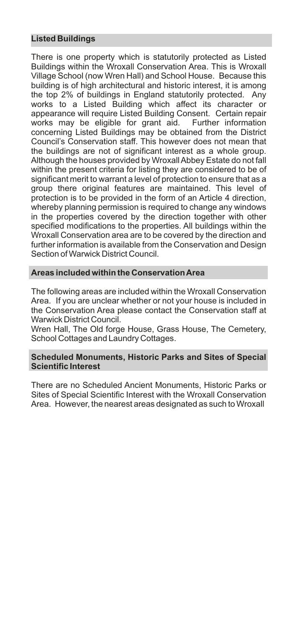# **Listed Buildings**

There is one property which is statutorily protected as Listed Buildings within the Wroxall Conservation Area. This is Wroxall Village School (now Wren Hall) and School House. Because this building is of high architectural and historic interest, it is among the top 2% of buildings in England statutorily protected. Any works to a Listed Building which affect its character or appearance will require Listed Building Consent. Certain repair works may be eligible for grant aid. Further information concerning Listed Buildings may be obtained from the District Council's Conservation staff. This however does not mean that the buildings are not of significant interest as a whole group. Although the houses provided by Wroxall Abbey Estate do not fall within the present criteria for listing they are considered to be of significant merit to warrant a level of protection to ensure that as a group there original features are maintained. This level of protection is to be provided in the form of an Article 4 direction, whereby planning permission is required to change any windows in the properties covered by the direction together with other specified modifications to the properties. All buildings within the Wroxall Conservation area are to be covered by the direction and further information is available from the Conservation and Design Section of Warwick District Council.

#### **Areas included within the Conservation Area**

The following areas are included within the Wroxall Conservation Area. If you are unclear whether or not your house is included in the Conservation Area please contact the Conservation staff at Warwick District Council.

Wren Hall, The Old forge House, Grass House, The Cemetery, School Cottages and Laundry Cottages.

## **Scheduled Monuments, Historic Parks and Sites of Special Scientific Interest**

There are no Scheduled Ancient Monuments, Historic Parks or Sites of Special Scientific Interest with the Wroxall Conservation Area. However, the nearest areas designated as such to Wroxall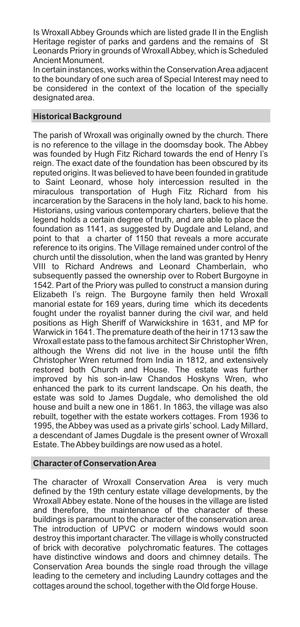Is Wroxall Abbey Grounds which are listed grade II in the English Heritage register of parks and gardens and the remains of St Leonards Priory in grounds of Wroxall Abbey, which is Scheduled Ancient Monument.

In certain instances, works within the Conservation Area adjacent to the boundary of one such area of Special Interest may need to be considered in the context of the location of the specially designated area.

# **Historical Background**

The parish of Wroxall was originally owned by the church. There is no reference to the village in the doomsday book. The Abbey was founded by Hugh Fitz Richard towards the end of Henry I's reign. The exact date of the foundation has been obscured by its reputed origins. It was believed to have been founded in gratitude to Saint Leonard, whose holy intercession resulted in the miraculous transportation of Hugh Fitz Richard from his incarceration by the Saracens in the holy land, back to his home. Historians, using various contemporary charters, believe that the legend holds a certain degree of truth, and are able to place the foundation as 1141, as suggested by Dugdale and Leland, and point to that a charter of 1150 that reveals a more accurate reference to its origins. The Village remained under control of the church until the dissolution, when the land was granted by Henry VIII to Richard Andrews and Leonard Chamberlain, who subsequently passed the ownership over to Robert Burgoyne in 1542. Part of the Priory was pulled to construct a mansion during Elizabeth I's reign. The Burgoyne family then held Wroxall manorial estate for 169 years, during time which its decedents fought under the royalist banner during the civil war, and held positions as High Sheriff of Warwickshire in 1631, and MP for Warwick in 1641. The premature death of the heir in 1713 saw the Wroxall estate pass to the famous architect Sir Christopher Wren, although the Wrens did not live in the house until the fifth Christopher Wren returned from India in 1812, and extensively restored both Church and House. The estate was further improved by his son-in-law Chandos Hoskyns Wren, who enhanced the park to its current landscape. On his death, the estate was sold to James Dugdale, who demolished the old house and built a new one in 1861. In 1863, the village was also rebuilt, together with the estate workers cottages. From 1936 to 1995, the Abbey was used as a private girls' school. Lady Millard, a descendant of James Dugdale is the present owner of Wroxall Estate. The Abbey buildings are now used as a hotel.

## **Character of Conservation Area**

The character of Wroxall Conservation Area is very much defined by the 19th century estate village developments, by the Wroxall Abbey estate. None of the houses in the village are listed and therefore, the maintenance of the character of these buildings is paramount to the character of the conservation area. The introduction of UPVC or modern windows would soon destroy this important character. The village is wholly constructed of brick with decorative polychromatic features. The cottages have distinctive windows and doors and chimney details. The Conservation Area bounds the single road through the village leading to the cemetery and including Laundry cottages and the cottages around the school, together with the Old forge House.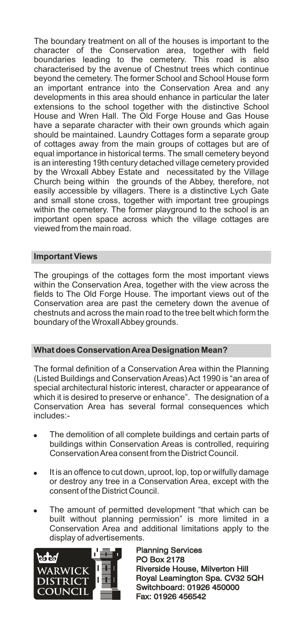The boundary treatment on all of the houses is important to the character of the Conservation area, together with field boundaries leading to the cemetery. This road is also characterised by the avenue of Chestnut trees which continue beyond the cemetery. The former School and School House form an important entrance into the Conservation Area and any developments in this area should enhance in particular the later extensions to the school together with the distinctive School House and Wren Hall. The Old Forge House and Gas House have a separate character with their own grounds which again should be maintained. Laundry Cottages form a separate group of cottages away from the main groups of cottages but are of equal importance in historical terms. The small cemetery beyond is an interesting 19th century detached village cemetery provided by the Wroxall Abbey Estate and necessitated by the Village Church being within the grounds of the Abbey, therefore, not easily accessible by villagers. There is a distinctive Lych Gate and small stone cross, together with important tree groupings within the cemetery. The former playground to the school is an important open space across which the village cottages are viewed from the main road.

## **Important Views**

The groupings of the cottages form the most important views within the Conservation Area, together with the view across the fields to The Old Forge House. The important views out of the Conservation area are past the cemetery down the avenue of chestnuts and across the main road to the tree belt which form the boundary of the Wroxall Abbey grounds.

# **What does Conservation Area Designation Mean?**

The formal definition of a Conservation Area within the Planning (Listed Buildings and Conservation Areas) Act 1990 is "an area of special architectural historic interest, character or appearance of which it is desired to preserve or enhance". The designation of a Conservation Area has several formal consequences which includes:-

- The demolition of all complete buildings and certain parts of buildings within Conservation Areas is controlled, requiring Conservation Area consent from the District Council.
- It is an offence to cut down, uproot, lop, top or wilfully damage or destroy any tree in a Conservation Area, except with the consent of the District Council.
- The amount of permitted development "that which can be built without planning permission" is more limited in a Conservation Area and additional limitations apply to the display of advertisements.



Planning Services PO Box 2178 Planning Services<br>PO Box 2178<br>Riverside House, Milverton Hill Royal Leamington Spa. CV32 5QH Switchboard: 01926 450000 Fax: 01926 456542 Royal Leamington Spa. CV32<br>Switchboard: 01926 450000<br>Fax: 01926 456542